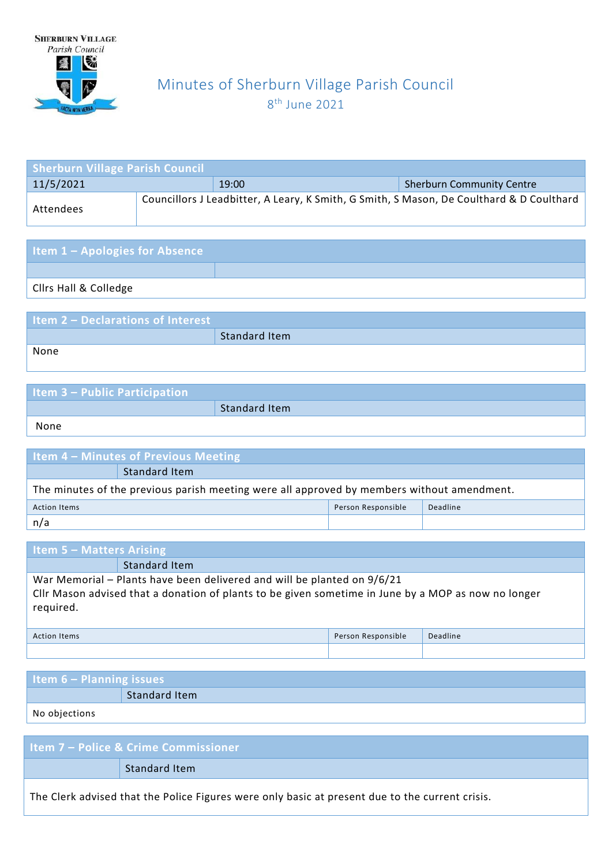

# Minutes of Sherburn Village Parish Council 8 th June 2021

| <b>Sherburn Village Parish Council</b> |  |       |                                                                                          |  |
|----------------------------------------|--|-------|------------------------------------------------------------------------------------------|--|
| 11/5/2021                              |  | 19:00 | <b>Sherburn Community Centre</b>                                                         |  |
| Attendees                              |  |       | Councillors J Leadbitter, A Leary, K Smith, G Smith, S Mason, De Coulthard & D Coulthard |  |

| <b>Item 1 - Apologies for Absence</b> |  |
|---------------------------------------|--|
|                                       |  |
| <b>Clirs Hall &amp; Colledge</b>      |  |

| <b>Item 2 - Declarations of Interest</b> |                      |
|------------------------------------------|----------------------|
|                                          | <b>Standard Item</b> |
| None                                     |                      |
|                                          |                      |

| <b>Item 3 - Public Participation</b> |                      |
|--------------------------------------|----------------------|
|                                      | <b>Standard Item</b> |
| None                                 |                      |

| <b>Item 4 – Minutes of Previous Meeting</b>                                                |               |  |  |  |
|--------------------------------------------------------------------------------------------|---------------|--|--|--|
|                                                                                            | Standard Item |  |  |  |
| The minutes of the previous parish meeting were all approved by members without amendment. |               |  |  |  |
| Person Responsible<br>Deadline<br><b>Action Items</b>                                      |               |  |  |  |
| n/a                                                                                        |               |  |  |  |

| <b>Item 5 - Matters Arising</b>                                                                                                                                                             |               |  |  |
|---------------------------------------------------------------------------------------------------------------------------------------------------------------------------------------------|---------------|--|--|
|                                                                                                                                                                                             | Standard Item |  |  |
| War Memorial – Plants have been delivered and will be planted on 9/6/21<br>Cllr Mason advised that a donation of plants to be given sometime in June by a MOP as now no longer<br>required. |               |  |  |
| Deadline<br>Person Responsible<br><b>Action Items</b>                                                                                                                                       |               |  |  |
|                                                                                                                                                                                             |               |  |  |

| ltem 6 – Planning issues |                      |  |
|--------------------------|----------------------|--|
|                          | <b>Standard Item</b> |  |
| No objections            |                      |  |

| <b>Item 7 – Police &amp; Crime Commissioner</b>                                                 |
|-------------------------------------------------------------------------------------------------|
| Standard Item                                                                                   |
| The Clerk advised that the Police Figures were only basic at present due to the current crisis. |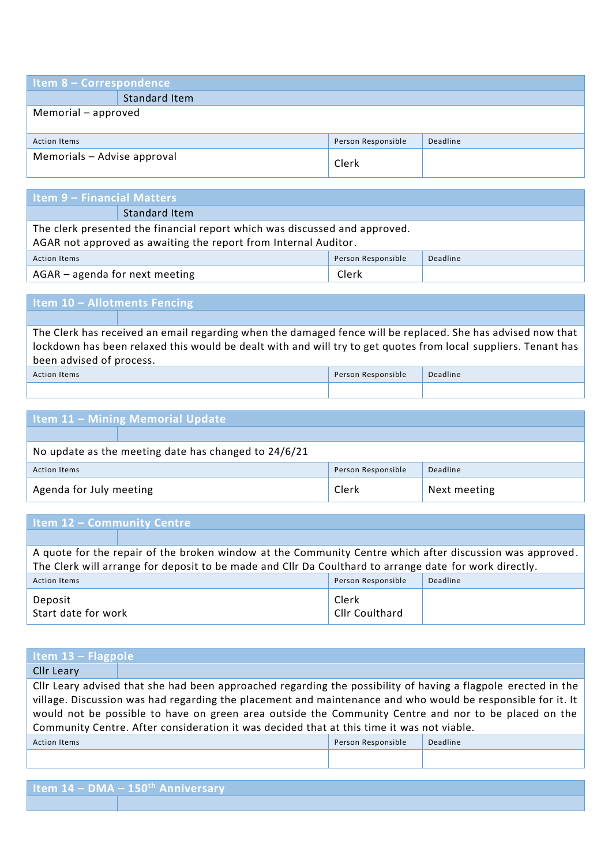| <b>Item 8 - Correspondence</b>                        |                      |       |  |  |
|-------------------------------------------------------|----------------------|-------|--|--|
|                                                       | <b>Standard Item</b> |       |  |  |
| Memorial - approved                                   |                      |       |  |  |
|                                                       |                      |       |  |  |
| Person Responsible<br>Deadline<br><b>Action Items</b> |                      |       |  |  |
| Memorials - Advise approval                           |                      | Clerk |  |  |

| l Item 9 – Financial Matters                                                                                                                  |               |  |  |
|-----------------------------------------------------------------------------------------------------------------------------------------------|---------------|--|--|
|                                                                                                                                               | Standard Item |  |  |
| The clerk presented the financial report which was discussed and approved.<br>AGAR not approved as awaiting the report from Internal Auditor. |               |  |  |
| Person Responsible<br>Deadline<br><b>Action Items</b>                                                                                         |               |  |  |
| AGAR - agenda for next meeting<br>Clerk                                                                                                       |               |  |  |

# **Item 10 – Allotments Fencing**

The Clerk has received an email regarding when the damaged fence will be replaced. She has advised now that lockdown has been relaxed this would be dealt with and will try to get quotes from local suppliers. Tenant has been advised of process.

| Action<br><b>Items</b> | Person Responsible | Deadline |
|------------------------|--------------------|----------|
|                        |                    |          |

| <b>Item 11 - Mining Memorial Update</b>               |  |       |              |  |
|-------------------------------------------------------|--|-------|--------------|--|
|                                                       |  |       |              |  |
| No update as the meeting date has changed to 24/6/21  |  |       |              |  |
| Person Responsible<br>Deadline<br><b>Action Items</b> |  |       |              |  |
| Agenda for July meeting                               |  | Clerk | Next meeting |  |

### **Item 12 – Community Centre**

A quote for the repair of the broken window at the Community Centre which after discussion was approved. The Clerk will arrange for deposit to be made and Cllr Da Coulthard to arrange date for work directly. Action Items Person Responsible Deadline Deposit Start date for work Clerk Cllr Coulthard

| Item $13$ – Flagpole                                                                                          |  |                    |          |
|---------------------------------------------------------------------------------------------------------------|--|--------------------|----------|
| <b>Cllr Leary</b>                                                                                             |  |                    |          |
| Cllr Leary advised that she had been approached regarding the possibility of having a flagpole erected in the |  |                    |          |
| village. Discussion was had regarding the placement and maintenance and who would be responsible for it. It   |  |                    |          |
| would not be possible to have on green area outside the Community Centre and nor to be placed on the          |  |                    |          |
| Community Centre. After consideration it was decided that at this time it was not viable.                     |  |                    |          |
| <b>Action Items</b>                                                                                           |  | Person Responsible | Deadline |
|                                                                                                               |  |                    |          |

| Item $14 - DMA - 150th$ Anniversary |
|-------------------------------------|
|                                     |